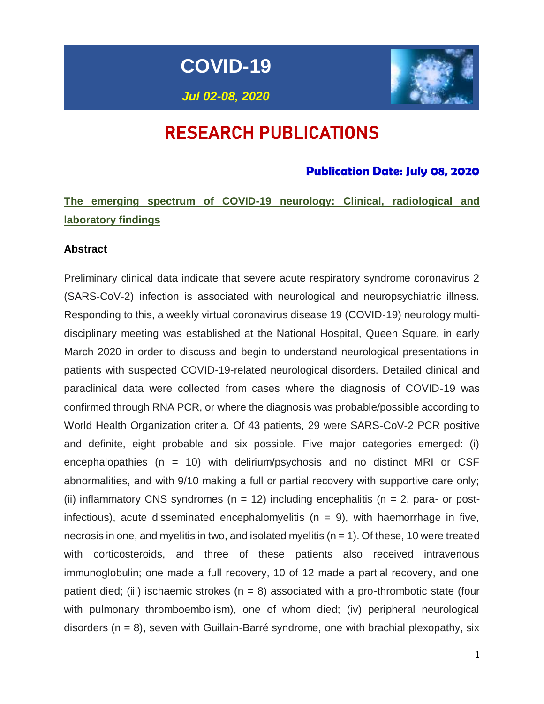**COVID-19**



# RESEARCH PUBLICATIONS

### **Publication Date: July 08, 2020**

# **The emerging spectrum of COVID-19 neurology: Clinical, radiological and laboratory findings**

#### **Abstract**

Preliminary clinical data indicate that severe acute respiratory syndrome coronavirus 2 (SARS-CoV-2) infection is associated with neurological and neuropsychiatric illness. Responding to this, a weekly virtual coronavirus disease 19 (COVID-19) neurology multidisciplinary meeting was established at the National Hospital, Queen Square, in early March 2020 in order to discuss and begin to understand neurological presentations in patients with suspected COVID-19-related neurological disorders. Detailed clinical and paraclinical data were collected from cases where the diagnosis of COVID-19 was confirmed through RNA PCR, or where the diagnosis was probable/possible according to World Health Organization criteria. Of 43 patients, 29 were SARS-CoV-2 PCR positive and definite, eight probable and six possible. Five major categories emerged: (i) encephalopathies ( $n = 10$ ) with delirium/psychosis and no distinct MRI or CSF abnormalities, and with 9/10 making a full or partial recovery with supportive care only; (ii) inflammatory CNS syndromes ( $n = 12$ ) including encephalitis ( $n = 2$ , para- or postinfectious), acute disseminated encephalomyelitis ( $n = 9$ ), with haemorrhage in five, necrosis in one, and myelitis in two, and isolated myelitis ( $n = 1$ ). Of these, 10 were treated with corticosteroids, and three of these patients also received intravenous immunoglobulin; one made a full recovery, 10 of 12 made a partial recovery, and one patient died; (iii) ischaemic strokes ( $n = 8$ ) associated with a pro-thrombotic state (four with pulmonary thromboembolism), one of whom died; (iv) peripheral neurological disorders  $(n = 8)$ , seven with Guillain-Barré syndrome, one with brachial plexopathy, six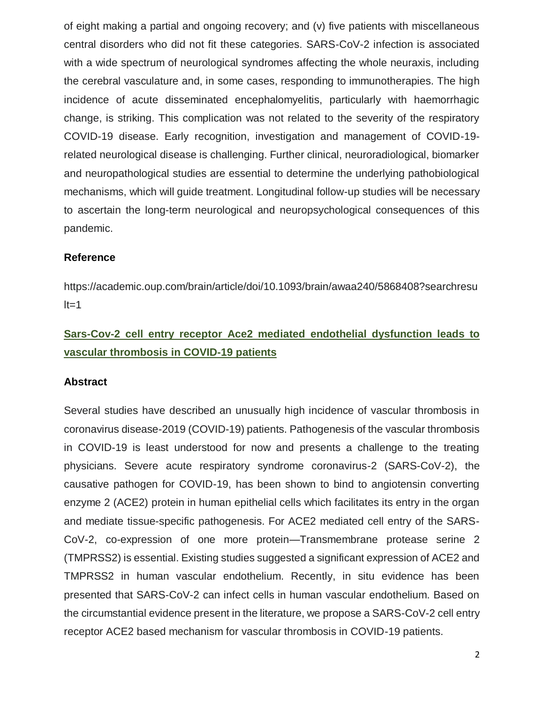of eight making a partial and ongoing recovery; and (v) five patients with miscellaneous central disorders who did not fit these categories. SARS-CoV-2 infection is associated with a wide spectrum of neurological syndromes affecting the whole neuraxis, including the cerebral vasculature and, in some cases, responding to immunotherapies. The high incidence of acute disseminated encephalomyelitis, particularly with haemorrhagic change, is striking. This complication was not related to the severity of the respiratory COVID-19 disease. Early recognition, investigation and management of COVID-19 related neurological disease is challenging. Further clinical, neuroradiological, biomarker and neuropathological studies are essential to determine the underlying pathobiological mechanisms, which will guide treatment. Longitudinal follow-up studies will be necessary to ascertain the long-term neurological and neuropsychological consequences of this pandemic.

#### **Reference**

https://academic.oup.com/brain/article/doi/10.1093/brain/awaa240/5868408?searchresu  $lt=1$ 

## **Sars-Cov-2 cell entry receptor Ace2 mediated endothelial dysfunction leads to vascular thrombosis in COVID-19 patients**

#### **Abstract**

Several studies have described an unusually high incidence of vascular thrombosis in coronavirus disease-2019 (COVID-19) patients. Pathogenesis of the vascular thrombosis in COVID-19 is least understood for now and presents a challenge to the treating physicians. Severe acute respiratory syndrome coronavirus-2 (SARS-CoV-2), the causative pathogen for COVID-19, has been shown to bind to angiotensin converting enzyme 2 (ACE2) protein in human epithelial cells which facilitates its entry in the organ and mediate tissue-specific pathogenesis. For ACE2 mediated cell entry of the SARS-CoV-2, co-expression of one more protein—Transmembrane protease serine 2 (TMPRSS2) is essential. Existing studies suggested a significant expression of ACE2 and TMPRSS2 in human vascular endothelium. Recently, in situ evidence has been presented that SARS-CoV-2 can infect cells in human vascular endothelium. Based on the circumstantial evidence present in the literature, we propose a SARS-CoV-2 cell entry receptor ACE2 based mechanism for vascular thrombosis in COVID-19 patients.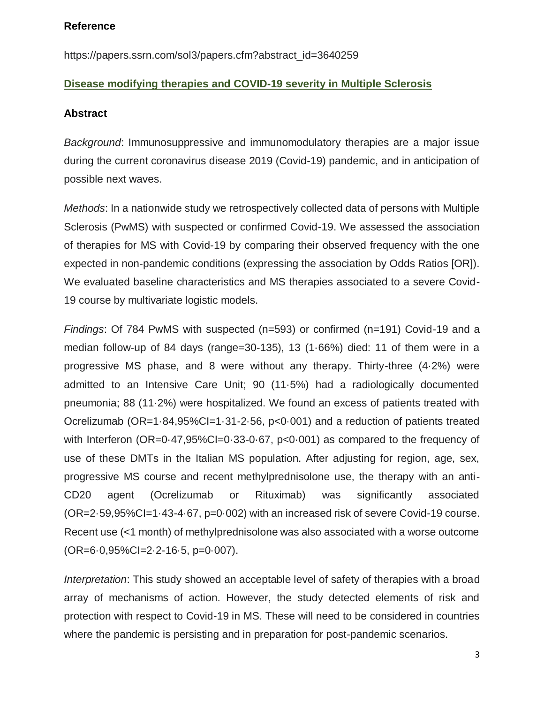#### **Reference**

https://papers.ssrn.com/sol3/papers.cfm?abstract\_id=3640259

### **Disease modifying therapies and COVID-19 severity in Multiple Sclerosis**

#### **Abstract**

*Background*: Immunosuppressive and immunomodulatory therapies are a major issue during the current coronavirus disease 2019 (Covid-19) pandemic, and in anticipation of possible next waves.

*Methods*: In a nationwide study we retrospectively collected data of persons with Multiple Sclerosis (PwMS) with suspected or confirmed Covid-19. We assessed the association of therapies for MS with Covid-19 by comparing their observed frequency with the one expected in non-pandemic conditions (expressing the association by Odds Ratios [OR]). We evaluated baseline characteristics and MS therapies associated to a severe Covid-19 course by multivariate logistic models.

*Findings*: Of 784 PwMS with suspected (n=593) or confirmed (n=191) Covid-19 and a median follow-up of 84 days (range=30-135), 13 (1·66%) died: 11 of them were in a progressive MS phase, and 8 were without any therapy. Thirty-three (4·2%) were admitted to an Intensive Care Unit; 90 (11·5%) had a radiologically documented pneumonia; 88 (11·2%) were hospitalized. We found an excess of patients treated with Ocrelizumab (OR=1·84,95%CI=1·31-2·56, p<0·001) and a reduction of patients treated with Interferon (OR=0.47,95%CI=0.33-0.67, p<0.001) as compared to the frequency of use of these DMTs in the Italian MS population. After adjusting for region, age, sex, progressive MS course and recent methylprednisolone use, the therapy with an anti-CD20 agent (Ocrelizumab or Rituximab) was significantly associated (OR=2·59,95%CI=1·43-4·67, p=0·002) with an increased risk of severe Covid-19 course. Recent use (<1 month) of methylprednisolone was also associated with a worse outcome (OR=6·0,95%CI=2·2-16·5, p=0·007).

*Interpretation*: This study showed an acceptable level of safety of therapies with a broad array of mechanisms of action. However, the study detected elements of risk and protection with respect to Covid-19 in MS. These will need to be considered in countries where the pandemic is persisting and in preparation for post-pandemic scenarios.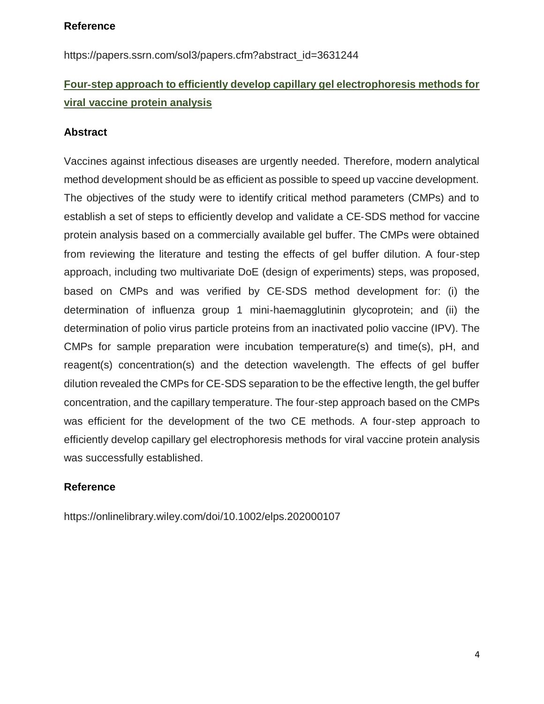#### **Reference**

https://papers.ssrn.com/sol3/papers.cfm?abstract\_id=3631244

## **Four**‐**step approach to efficiently develop capillary gel electrophoresis methods for viral vaccine protein analysis**

#### **Abstract**

Vaccines against infectious diseases are urgently needed. Therefore, modern analytical method development should be as efficient as possible to speed up vaccine development. The objectives of the study were to identify critical method parameters (CMPs) and to establish a set of steps to efficiently develop and validate a CE‐SDS method for vaccine protein analysis based on a commercially available gel buffer. The CMPs were obtained from reviewing the literature and testing the effects of gel buffer dilution. A four‐step approach, including two multivariate DoE (design of experiments) steps, was proposed, based on CMPs and was verified by CE‐SDS method development for: (i) the determination of influenza group 1 mini‐haemagglutinin glycoprotein; and (ii) the determination of polio virus particle proteins from an inactivated polio vaccine (IPV). The CMPs for sample preparation were incubation temperature(s) and time(s), pH, and reagent(s) concentration(s) and the detection wavelength. The effects of gel buffer dilution revealed the CMPs for CE‐SDS separation to be the effective length, the gel buffer concentration, and the capillary temperature. The four‐step approach based on the CMPs was efficient for the development of the two CE methods. A four-step approach to efficiently develop capillary gel electrophoresis methods for viral vaccine protein analysis was successfully established.

### **Reference**

https://onlinelibrary.wiley.com/doi/10.1002/elps.202000107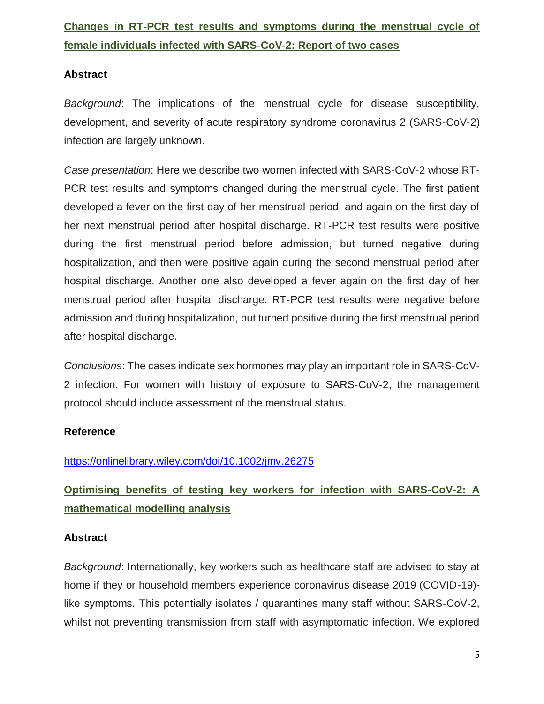# **Changes in RT**‐**PCR test results and symptoms during the menstrual cycle of female individuals infected with SARS**‐**CoV**‐**2: Report of two cases**

#### **Abstract**

*Background*: The implications of the menstrual cycle for disease susceptibility, development, and severity of acute respiratory syndrome coronavirus 2 (SARS‐CoV‐2) infection are largely unknown.

*Case presentation*: Here we describe two women infected with SARS‐CoV‐2 whose RT‐ PCR test results and symptoms changed during the menstrual cycle. The first patient developed a fever on the first day of her menstrual period, and again on the first day of her next menstrual period after hospital discharge. RT‐PCR test results were positive during the first menstrual period before admission, but turned negative during hospitalization, and then were positive again during the second menstrual period after hospital discharge. Another one also developed a fever again on the first day of her menstrual period after hospital discharge. RT‐PCR test results were negative before admission and during hospitalization, but turned positive during the first menstrual period after hospital discharge.

*Conclusions*: The cases indicate sex hormones may play an important role in SARS‐CoV‐ 2 infection. For women with history of exposure to SARS‐CoV‐2, the management protocol should include assessment of the menstrual status.

### **Reference**

### <https://onlinelibrary.wiley.com/doi/10.1002/jmv.26275>

# **Optimising benefits of testing key workers for infection with SARS-CoV-2: A mathematical modelling analysis**

#### **Abstract**

*Background*: Internationally, key workers such as healthcare staff are advised to stay at home if they or household members experience coronavirus disease 2019 (COVID-19) like symptoms. This potentially isolates / quarantines many staff without SARS-CoV-2, whilst not preventing transmission from staff with asymptomatic infection. We explored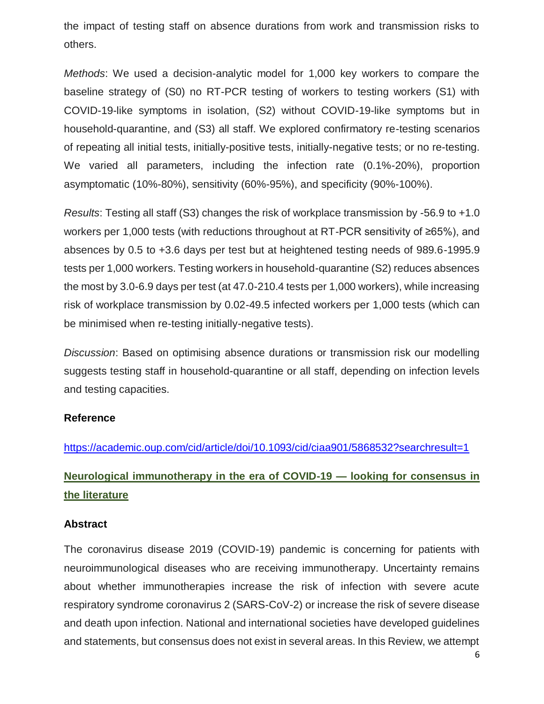the impact of testing staff on absence durations from work and transmission risks to others.

*Methods*: We used a decision-analytic model for 1,000 key workers to compare the baseline strategy of (S0) no RT-PCR testing of workers to testing workers (S1) with COVID-19-like symptoms in isolation, (S2) without COVID-19-like symptoms but in household-quarantine, and (S3) all staff. We explored confirmatory re-testing scenarios of repeating all initial tests, initially-positive tests, initially-negative tests; or no re-testing. We varied all parameters, including the infection rate (0.1%-20%), proportion asymptomatic (10%-80%), sensitivity (60%-95%), and specificity (90%-100%).

*Results*: Testing all staff (S3) changes the risk of workplace transmission by -56.9 to +1.0 workers per 1,000 tests (with reductions throughout at RT-PCR sensitivity of ≥65%), and absences by 0.5 to +3.6 days per test but at heightened testing needs of 989.6-1995.9 tests per 1,000 workers. Testing workers in household-quarantine (S2) reduces absences the most by 3.0-6.9 days per test (at 47.0-210.4 tests per 1,000 workers), while increasing risk of workplace transmission by 0.02-49.5 infected workers per 1,000 tests (which can be minimised when re-testing initially-negative tests).

*Discussion*: Based on optimising absence durations or transmission risk our modelling suggests testing staff in household-quarantine or all staff, depending on infection levels and testing capacities.

#### **Reference**

<https://academic.oup.com/cid/article/doi/10.1093/cid/ciaa901/5868532?searchresult=1>

## **Neurological immunotherapy in the era of COVID-19 — looking for consensus in the literature**

#### **Abstract**

The coronavirus disease 2019 (COVID-19) pandemic is concerning for patients with neuroimmunological diseases who are receiving immunotherapy. Uncertainty remains about whether immunotherapies increase the risk of infection with severe acute respiratory syndrome coronavirus 2 (SARS-CoV-2) or increase the risk of severe disease and death upon infection. National and international societies have developed guidelines and statements, but consensus does not exist in several areas. In this Review, we attempt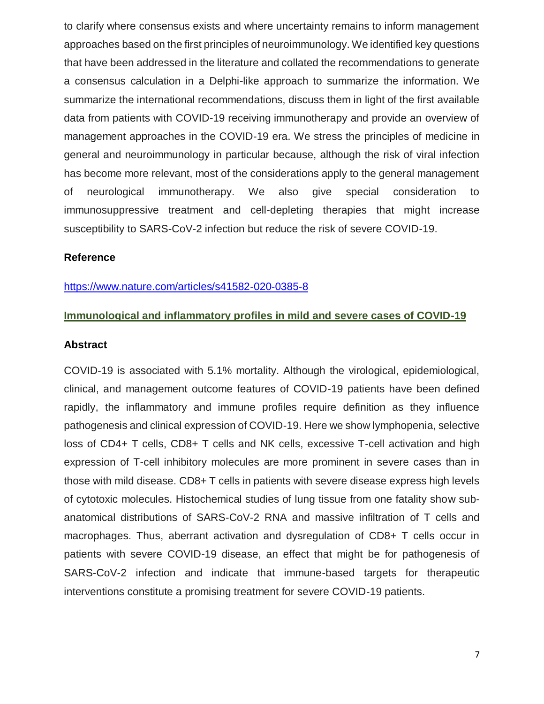to clarify where consensus exists and where uncertainty remains to inform management approaches based on the first principles of neuroimmunology. We identified key questions that have been addressed in the literature and collated the recommendations to generate a consensus calculation in a Delphi-like approach to summarize the information. We summarize the international recommendations, discuss them in light of the first available data from patients with COVID-19 receiving immunotherapy and provide an overview of management approaches in the COVID-19 era. We stress the principles of medicine in general and neuroimmunology in particular because, although the risk of viral infection has become more relevant, most of the considerations apply to the general management of neurological immunotherapy. We also give special consideration to immunosuppressive treatment and cell-depleting therapies that might increase susceptibility to SARS-CoV-2 infection but reduce the risk of severe COVID-19.

#### **Reference**

#### <https://www.nature.com/articles/s41582-020-0385-8>

#### **Immunological and inflammatory profiles in mild and severe cases of COVID-19**

#### **Abstract**

COVID-19 is associated with 5.1% mortality. Although the virological, epidemiological, clinical, and management outcome features of COVID-19 patients have been defined rapidly, the inflammatory and immune profiles require definition as they influence pathogenesis and clinical expression of COVID-19. Here we show lymphopenia, selective loss of CD4+ T cells, CD8+ T cells and NK cells, excessive T-cell activation and high expression of T-cell inhibitory molecules are more prominent in severe cases than in those with mild disease. CD8+ T cells in patients with severe disease express high levels of cytotoxic molecules. Histochemical studies of lung tissue from one fatality show subanatomical distributions of SARS-CoV-2 RNA and massive infiltration of T cells and macrophages. Thus, aberrant activation and dysregulation of CD8+ T cells occur in patients with severe COVID-19 disease, an effect that might be for pathogenesis of SARS-CoV-2 infection and indicate that immune-based targets for therapeutic interventions constitute a promising treatment for severe COVID-19 patients.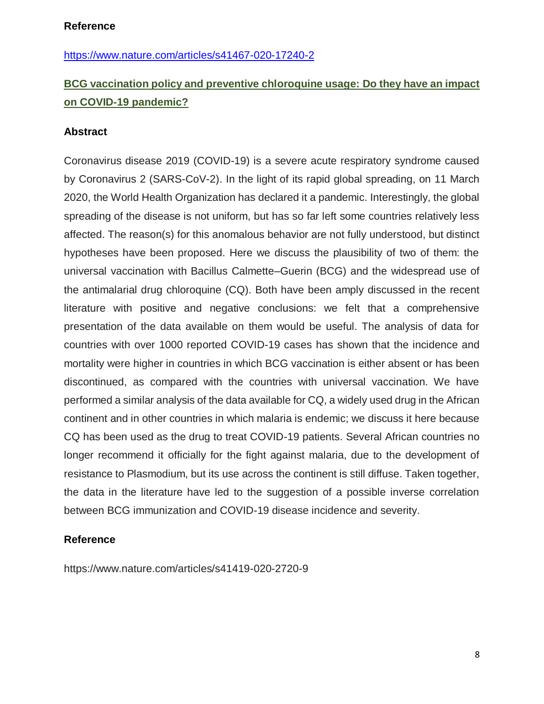<https://www.nature.com/articles/s41467-020-17240-2>

## **BCG vaccination policy and preventive chloroquine usage: Do they have an impact on COVID-19 pandemic?**

#### **Abstract**

Coronavirus disease 2019 (COVID-19) is a severe acute respiratory syndrome caused by Coronavirus 2 (SARS-CoV-2). In the light of its rapid global spreading, on 11 March 2020, the World Health Organization has declared it a pandemic. Interestingly, the global spreading of the disease is not uniform, but has so far left some countries relatively less affected. The reason(s) for this anomalous behavior are not fully understood, but distinct hypotheses have been proposed. Here we discuss the plausibility of two of them: the universal vaccination with Bacillus Calmette–Guerin (BCG) and the widespread use of the antimalarial drug chloroquine (CQ). Both have been amply discussed in the recent literature with positive and negative conclusions: we felt that a comprehensive presentation of the data available on them would be useful. The analysis of data for countries with over 1000 reported COVID-19 cases has shown that the incidence and mortality were higher in countries in which BCG vaccination is either absent or has been discontinued, as compared with the countries with universal vaccination. We have performed a similar analysis of the data available for CQ, a widely used drug in the African continent and in other countries in which malaria is endemic; we discuss it here because CQ has been used as the drug to treat COVID-19 patients. Several African countries no longer recommend it officially for the fight against malaria, due to the development of resistance to Plasmodium, but its use across the continent is still diffuse. Taken together, the data in the literature have led to the suggestion of a possible inverse correlation between BCG immunization and COVID-19 disease incidence and severity.

#### **Reference**

<https://www.nature.com/articles/s41419-020-2720-9>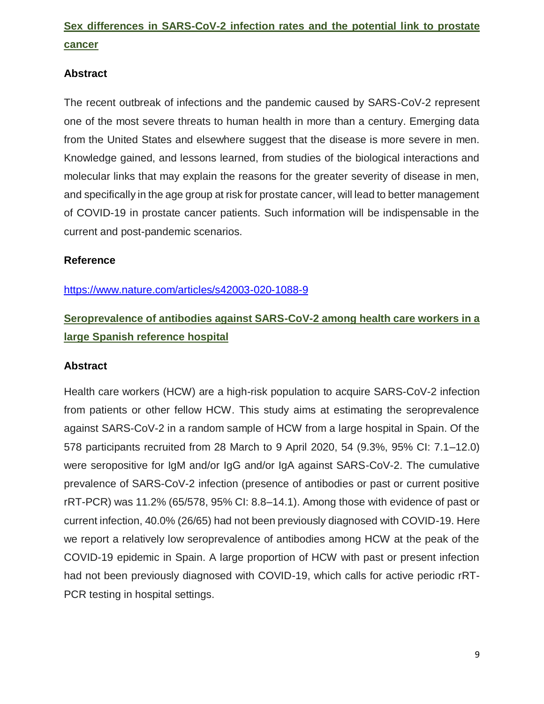# **Sex differences in SARS-CoV-2 infection rates and the potential link to prostate cancer**

#### **Abstract**

The recent outbreak of infections and the pandemic caused by SARS-CoV-2 represent one of the most severe threats to human health in more than a century. Emerging data from the United States and elsewhere suggest that the disease is more severe in men. Knowledge gained, and lessons learned, from studies of the biological interactions and molecular links that may explain the reasons for the greater severity of disease in men, and specifically in the age group at risk for prostate cancer, will lead to better management of COVID-19 in prostate cancer patients. Such information will be indispensable in the current and post-pandemic scenarios.

#### **Reference**

<https://www.nature.com/articles/s42003-020-1088-9>

# **Seroprevalence of antibodies against SARS-CoV-2 among health care workers in a large Spanish reference hospital**

#### **Abstract**

Health care workers (HCW) are a high-risk population to acquire SARS-CoV-2 infection from patients or other fellow HCW. This study aims at estimating the seroprevalence against SARS-CoV-2 in a random sample of HCW from a large hospital in Spain. Of the 578 participants recruited from 28 March to 9 April 2020, 54 (9.3%, 95% CI: 7.1–12.0) were seropositive for IgM and/or IgG and/or IgA against SARS-CoV-2. The cumulative prevalence of SARS-CoV-2 infection (presence of antibodies or past or current positive rRT-PCR) was 11.2% (65/578, 95% CI: 8.8–14.1). Among those with evidence of past or current infection, 40.0% (26/65) had not been previously diagnosed with COVID-19. Here we report a relatively low seroprevalence of antibodies among HCW at the peak of the COVID-19 epidemic in Spain. A large proportion of HCW with past or present infection had not been previously diagnosed with COVID-19, which calls for active periodic rRT-PCR testing in hospital settings.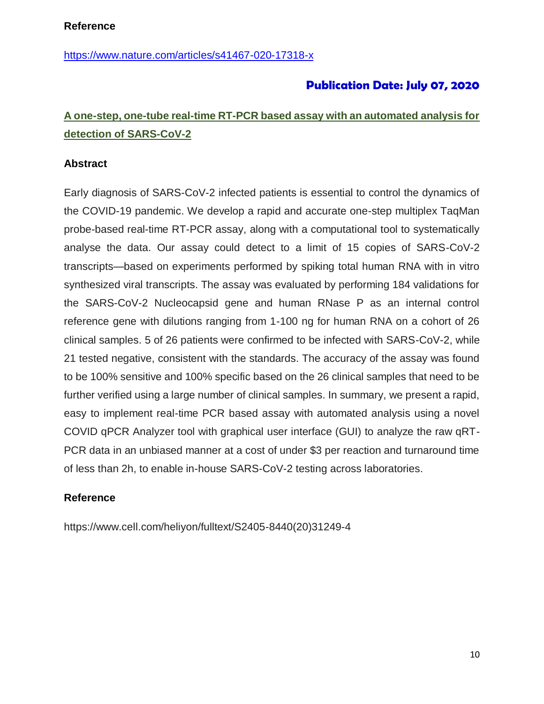<https://www.nature.com/articles/s41467-020-17318-x>

## **Publication Date: July 07, 2020**

## **A one-step, one-tube real-time RT-PCR based assay with an automated analysis for detection of SARS-CoV-2**

#### **Abstract**

Early diagnosis of SARS-CoV-2 infected patients is essential to control the dynamics of the COVID-19 pandemic. We develop a rapid and accurate one-step multiplex TaqMan probe-based real-time RT-PCR assay, along with a computational tool to systematically analyse the data. Our assay could detect to a limit of 15 copies of SARS-CoV-2 transcripts—based on experiments performed by spiking total human RNA with in vitro synthesized viral transcripts. The assay was evaluated by performing 184 validations for the SARS-CoV-2 Nucleocapsid gene and human RNase P as an internal control reference gene with dilutions ranging from 1-100 ng for human RNA on a cohort of 26 clinical samples. 5 of 26 patients were confirmed to be infected with SARS-CoV-2, while 21 tested negative, consistent with the standards. The accuracy of the assay was found to be 100% sensitive and 100% specific based on the 26 clinical samples that need to be further verified using a large number of clinical samples. In summary, we present a rapid, easy to implement real-time PCR based assay with automated analysis using a novel COVID qPCR Analyzer tool with graphical user interface (GUI) to analyze the raw qRT-PCR data in an unbiased manner at a cost of under \$3 per reaction and turnaround time of less than 2h, to enable in-house SARS-CoV-2 testing across laboratories.

#### **Reference**

https://www.cell.com/heliyon/fulltext/S2405-8440(20)31249-4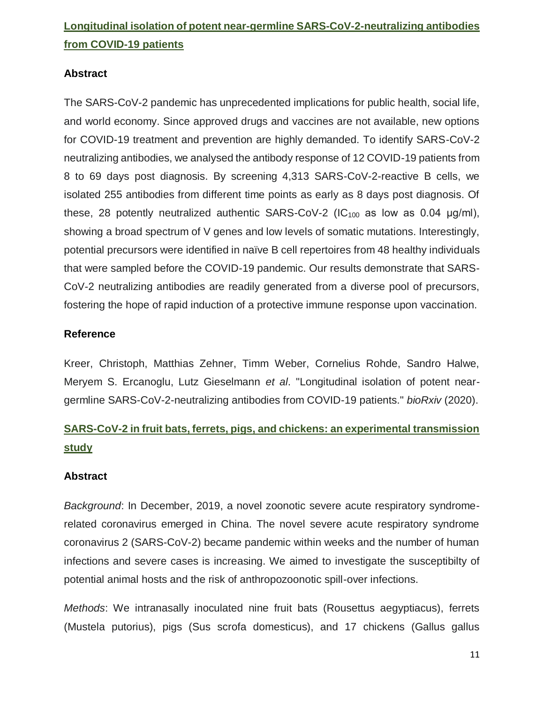# **Longitudinal isolation of potent near-germline SARS-CoV-2-neutralizing antibodies from COVID-19 patients**

### **Abstract**

The SARS-CoV-2 pandemic has unprecedented implications for public health, social life, and world economy. Since approved drugs and vaccines are not available, new options for COVID-19 treatment and prevention are highly demanded. To identify SARS-CoV-2 neutralizing antibodies, we analysed the antibody response of 12 COVID-19 patients from 8 to 69 days post diagnosis. By screening 4,313 SARS-CoV-2-reactive B cells, we isolated 255 antibodies from different time points as early as 8 days post diagnosis. Of these, 28 potently neutralized authentic SARS-CoV-2 ( $IC_{100}$  as low as 0.04  $\mu$ g/ml), showing a broad spectrum of V genes and low levels of somatic mutations. Interestingly, potential precursors were identified in naïve B cell repertoires from 48 healthy individuals that were sampled before the COVID-19 pandemic. Our results demonstrate that SARS-CoV-2 neutralizing antibodies are readily generated from a diverse pool of precursors, fostering the hope of rapid induction of a protective immune response upon vaccination.

### **Reference**

Kreer, Christoph, Matthias Zehner, Timm Weber, Cornelius Rohde, Sandro Halwe, Meryem S. Ercanoglu, Lutz Gieselmann *et al*. "Longitudinal isolation of potent neargermline SARS-CoV-2-neutralizing antibodies from COVID-19 patients." *bioRxiv* (2020).

# **SARS-CoV-2 in fruit bats, ferrets, pigs, and chickens: an experimental transmission study**

### **Abstract**

*Background*: In December, 2019, a novel zoonotic severe acute respiratory syndromerelated coronavirus emerged in China. The novel severe acute respiratory syndrome coronavirus 2 (SARS-CoV-2) became pandemic within weeks and the number of human infections and severe cases is increasing. We aimed to investigate the susceptibilty of potential animal hosts and the risk of anthropozoonotic spill-over infections.

*Methods*: We intranasally inoculated nine fruit bats (Rousettus aegyptiacus), ferrets (Mustela putorius), pigs (Sus scrofa domesticus), and 17 chickens (Gallus gallus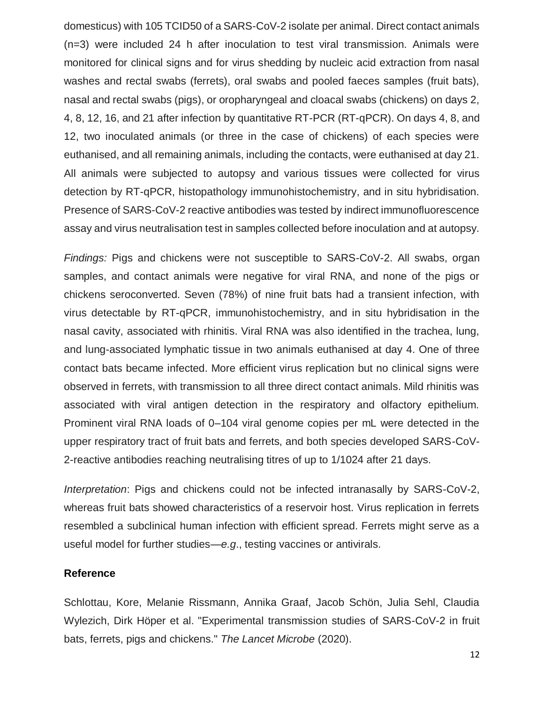domesticus) with 105 TCID50 of a SARS-CoV-2 isolate per animal. Direct contact animals (n=3) were included 24 h after inoculation to test viral transmission. Animals were monitored for clinical signs and for virus shedding by nucleic acid extraction from nasal washes and rectal swabs (ferrets), oral swabs and pooled faeces samples (fruit bats), nasal and rectal swabs (pigs), or oropharyngeal and cloacal swabs (chickens) on days 2, 4, 8, 12, 16, and 21 after infection by quantitative RT-PCR (RT-qPCR). On days 4, 8, and 12, two inoculated animals (or three in the case of chickens) of each species were euthanised, and all remaining animals, including the contacts, were euthanised at day 21. All animals were subjected to autopsy and various tissues were collected for virus detection by RT-qPCR, histopathology immunohistochemistry, and in situ hybridisation. Presence of SARS-CoV-2 reactive antibodies was tested by indirect immunofluorescence assay and virus neutralisation test in samples collected before inoculation and at autopsy.

*Findings:* Pigs and chickens were not susceptible to SARS-CoV-2. All swabs, organ samples, and contact animals were negative for viral RNA, and none of the pigs or chickens seroconverted. Seven (78%) of nine fruit bats had a transient infection, with virus detectable by RT-qPCR, immunohistochemistry, and in situ hybridisation in the nasal cavity, associated with rhinitis. Viral RNA was also identified in the trachea, lung, and lung-associated lymphatic tissue in two animals euthanised at day 4. One of three contact bats became infected. More efficient virus replication but no clinical signs were observed in ferrets, with transmission to all three direct contact animals. Mild rhinitis was associated with viral antigen detection in the respiratory and olfactory epithelium. Prominent viral RNA loads of 0–104 viral genome copies per mL were detected in the upper respiratory tract of fruit bats and ferrets, and both species developed SARS-CoV-2-reactive antibodies reaching neutralising titres of up to 1/1024 after 21 days.

*Interpretation*: Pigs and chickens could not be infected intranasally by SARS-CoV-2, whereas fruit bats showed characteristics of a reservoir host. Virus replication in ferrets resembled a subclinical human infection with efficient spread. Ferrets might serve as a useful model for further studies—*e.g*., testing vaccines or antivirals.

#### **Reference**

Schlottau, Kore, Melanie Rissmann, Annika Graaf, Jacob Schön, Julia Sehl, Claudia Wylezich, Dirk Höper et al. "Experimental transmission studies of SARS-CoV-2 in fruit bats, ferrets, pigs and chickens." *The Lancet Microbe* (2020).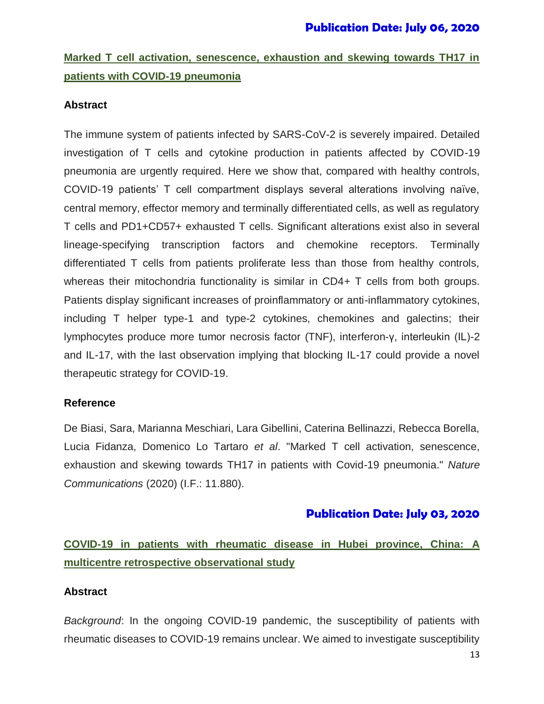# **Marked T cell activation, senescence, exhaustion and skewing towards TH17 in patients with COVID-19 pneumonia**

#### **Abstract**

The immune system of patients infected by SARS-CoV-2 is severely impaired. Detailed investigation of T cells and cytokine production in patients affected by COVID-19 pneumonia are urgently required. Here we show that, compared with healthy controls, COVID-19 patients' T cell compartment displays several alterations involving naïve, central memory, effector memory and terminally differentiated cells, as well as regulatory T cells and PD1+CD57+ exhausted T cells. Significant alterations exist also in several lineage-specifying transcription factors and chemokine receptors. Terminally differentiated T cells from patients proliferate less than those from healthy controls, whereas their mitochondria functionality is similar in CD4+ T cells from both groups. Patients display significant increases of proinflammatory or anti-inflammatory cytokines, including T helper type-1 and type-2 cytokines, chemokines and galectins; their lymphocytes produce more tumor necrosis factor (TNF), interferon-γ, interleukin (IL)-2 and IL-17, with the last observation implying that blocking IL-17 could provide a novel therapeutic strategy for COVID-19.

#### **Reference**

De Biasi, Sara, Marianna Meschiari, Lara Gibellini, Caterina Bellinazzi, Rebecca Borella, Lucia Fidanza, Domenico Lo Tartaro *et al*. "Marked T cell activation, senescence, exhaustion and skewing towards TH17 in patients with Covid-19 pneumonia." *Nature Communications* (2020) (I.F.: 11.880).

## **Publication Date: July 03, 2020**

**COVID-19 in patients with rheumatic disease in Hubei province, China: A multicentre retrospective observational study**

### **Abstract**

*Background*: In the ongoing COVID-19 pandemic, the susceptibility of patients with rheumatic diseases to COVID-19 remains unclear. We aimed to investigate susceptibility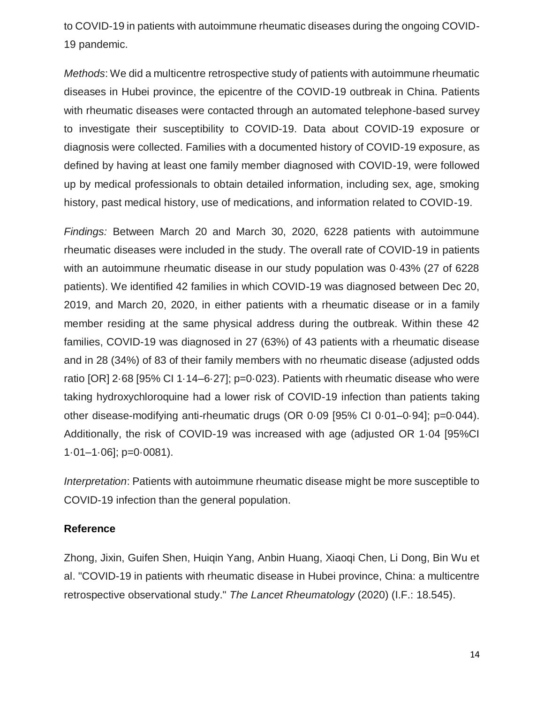to COVID-19 in patients with autoimmune rheumatic diseases during the ongoing COVID-19 pandemic.

*Methods*: We did a multicentre retrospective study of patients with autoimmune rheumatic diseases in Hubei province, the epicentre of the COVID-19 outbreak in China. Patients with rheumatic diseases were contacted through an automated telephone-based survey to investigate their susceptibility to COVID-19. Data about COVID-19 exposure or diagnosis were collected. Families with a documented history of COVID-19 exposure, as defined by having at least one family member diagnosed with COVID-19, were followed up by medical professionals to obtain detailed information, including sex, age, smoking history, past medical history, use of medications, and information related to COVID-19.

*Findings:* Between March 20 and March 30, 2020, 6228 patients with autoimmune rheumatic diseases were included in the study. The overall rate of COVID-19 in patients with an autoimmune rheumatic disease in our study population was 0·43% (27 of 6228 patients). We identified 42 families in which COVID-19 was diagnosed between Dec 20, 2019, and March 20, 2020, in either patients with a rheumatic disease or in a family member residing at the same physical address during the outbreak. Within these 42 families, COVID-19 was diagnosed in 27 (63%) of 43 patients with a rheumatic disease and in 28 (34%) of 83 of their family members with no rheumatic disease (adjusted odds ratio [OR] 2·68 [95% CI 1·14–6·27]; p=0·023). Patients with rheumatic disease who were taking hydroxychloroquine had a lower risk of COVID-19 infection than patients taking other disease-modifying anti-rheumatic drugs (OR 0·09 [95% CI 0·01–0·94]; p=0·044). Additionally, the risk of COVID-19 was increased with age (adjusted OR 1·04 [95%CI  $1.01 - 1.06$ ; p=0.0081).

*Interpretation*: Patients with autoimmune rheumatic disease might be more susceptible to COVID-19 infection than the general population.

#### **Reference**

Zhong, Jixin, Guifen Shen, Huiqin Yang, Anbin Huang, Xiaoqi Chen, Li Dong, Bin Wu et al. "COVID-19 in patients with rheumatic disease in Hubei province, China: a multicentre retrospective observational study." *The Lancet Rheumatology* (2020) (I.F.: 18.545).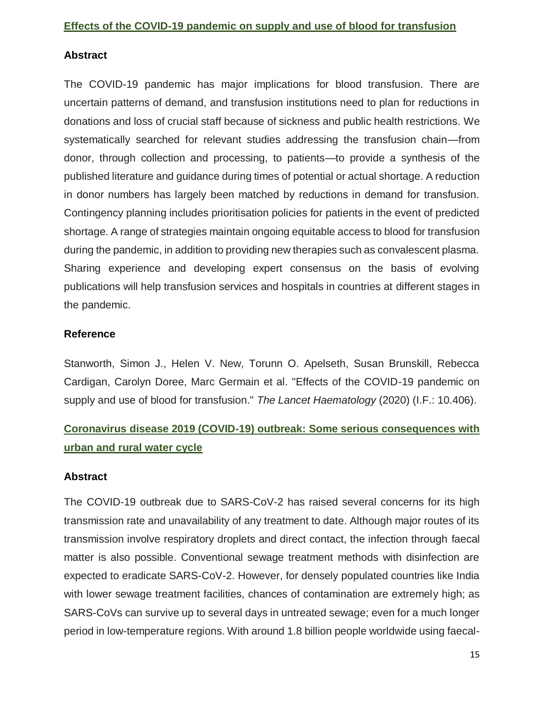#### **Abstract**

The COVID-19 pandemic has major implications for blood transfusion. There are uncertain patterns of demand, and transfusion institutions need to plan for reductions in donations and loss of crucial staff because of sickness and public health restrictions. We systematically searched for relevant studies addressing the transfusion chain—from donor, through collection and processing, to patients—to provide a synthesis of the published literature and guidance during times of potential or actual shortage. A reduction in donor numbers has largely been matched by reductions in demand for transfusion. Contingency planning includes prioritisation policies for patients in the event of predicted shortage. A range of strategies maintain ongoing equitable access to blood for transfusion during the pandemic, in addition to providing new therapies such as convalescent plasma. Sharing experience and developing expert consensus on the basis of evolving publications will help transfusion services and hospitals in countries at different stages in the pandemic.

#### **Reference**

Stanworth, Simon J., Helen V. New, Torunn O. Apelseth, Susan Brunskill, Rebecca Cardigan, Carolyn Doree, Marc Germain et al. "Effects of the COVID-19 pandemic on supply and use of blood for transfusion." *The Lancet Haematology* (2020) (I.F.: 10.406).

## **Coronavirus disease 2019 (COVID-19) outbreak: Some serious consequences with urban and rural water cycle**

#### **Abstract**

The COVID-19 outbreak due to SARS-CoV-2 has raised several concerns for its high transmission rate and unavailability of any treatment to date. Although major routes of its transmission involve respiratory droplets and direct contact, the infection through faecal matter is also possible. Conventional sewage treatment methods with disinfection are expected to eradicate SARS-CoV-2. However, for densely populated countries like India with lower sewage treatment facilities, chances of contamination are extremely high; as SARS-CoVs can survive up to several days in untreated sewage; even for a much longer period in low-temperature regions. With around 1.8 billion people worldwide using faecal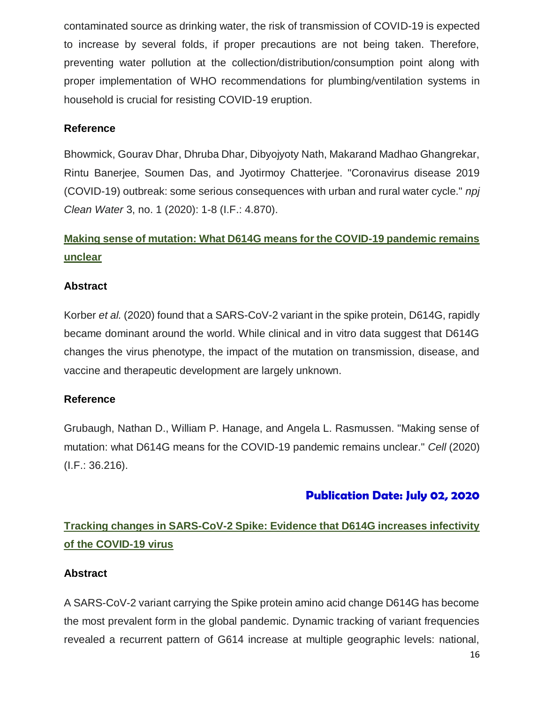contaminated source as drinking water, the risk of transmission of COVID-19 is expected to increase by several folds, if proper precautions are not being taken. Therefore, preventing water pollution at the collection/distribution/consumption point along with proper implementation of WHO recommendations for plumbing/ventilation systems in household is crucial for resisting COVID-19 eruption.

#### **Reference**

Bhowmick, Gourav Dhar, Dhruba Dhar, Dibyojyoty Nath, Makarand Madhao Ghangrekar, Rintu Banerjee, Soumen Das, and Jyotirmoy Chatterjee. "Coronavirus disease 2019 (COVID-19) outbreak: some serious consequences with urban and rural water cycle." *npj Clean Water* 3, no. 1 (2020): 1-8 (I.F.: 4.870).

# **Making sense of mutation: What D614G means for the COVID-19 pandemic remains unclear**

#### **Abstract**

Korber *et al.* (2020) found that a SARS-CoV-2 variant in the spike protein, D614G, rapidly became dominant around the world. While clinical and in vitro data suggest that D614G changes the virus phenotype, the impact of the mutation on transmission, disease, and vaccine and therapeutic development are largely unknown.

#### **Reference**

Grubaugh, Nathan D., William P. Hanage, and Angela L. Rasmussen. "Making sense of mutation: what D614G means for the COVID-19 pandemic remains unclear." *Cell* (2020) (I.F.: 36.216).

## **Publication Date: July 02, 2020**

## **Tracking changes in SARS-CoV-2 Spike: Evidence that D614G increases infectivity of the COVID-19 virus**

#### **Abstract**

A SARS-CoV-2 variant carrying the Spike protein amino acid change D614G has become the most prevalent form in the global pandemic. Dynamic tracking of variant frequencies revealed a recurrent pattern of G614 increase at multiple geographic levels: national,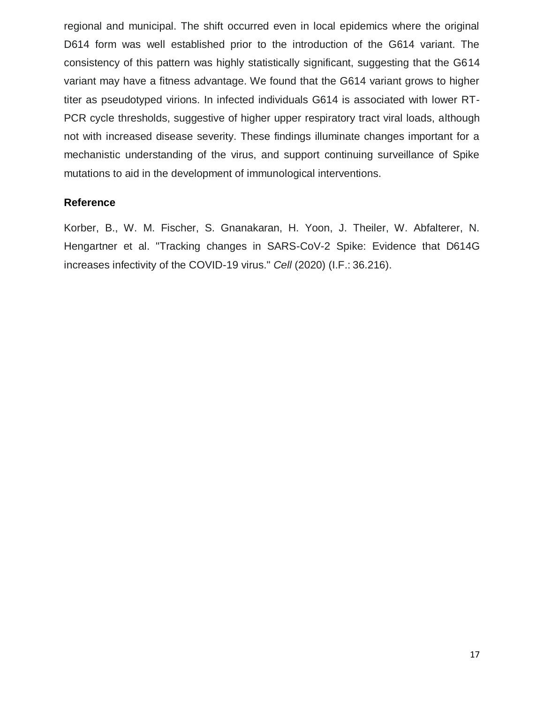regional and municipal. The shift occurred even in local epidemics where the original D614 form was well established prior to the introduction of the G614 variant. The consistency of this pattern was highly statistically significant, suggesting that the G614 variant may have a fitness advantage. We found that the G614 variant grows to higher titer as pseudotyped virions. In infected individuals G614 is associated with lower RT-PCR cycle thresholds, suggestive of higher upper respiratory tract viral loads, although not with increased disease severity. These findings illuminate changes important for a mechanistic understanding of the virus, and support continuing surveillance of Spike mutations to aid in the development of immunological interventions.

#### **Reference**

Korber, B., W. M. Fischer, S. Gnanakaran, H. Yoon, J. Theiler, W. Abfalterer, N. Hengartner et al. "Tracking changes in SARS-CoV-2 Spike: Evidence that D614G increases infectivity of the COVID-19 virus." *Cell* (2020) (I.F.: 36.216).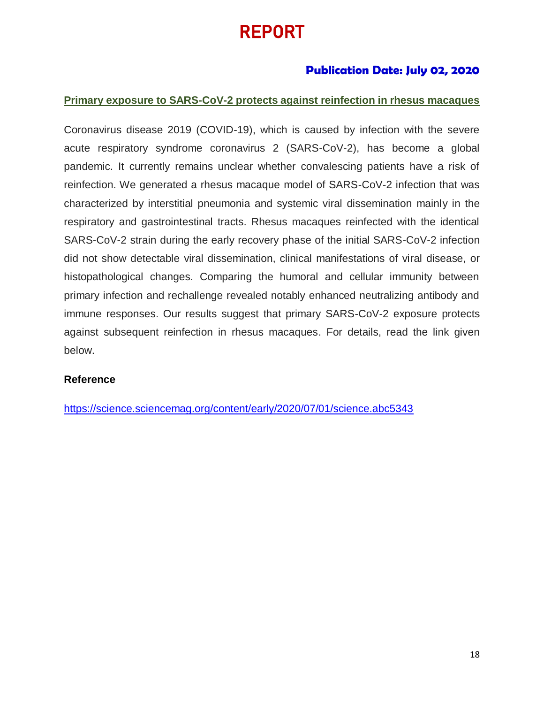# REPORT

## **Publication Date: July 02, 2020**

#### **Primary exposure to SARS-CoV-2 protects against reinfection in rhesus macaques**

Coronavirus disease 2019 (COVID-19), which is caused by infection with the severe acute respiratory syndrome coronavirus 2 (SARS-CoV-2), has become a global pandemic. It currently remains unclear whether convalescing patients have a risk of reinfection. We generated a rhesus macaque model of SARS-CoV-2 infection that was characterized by interstitial pneumonia and systemic viral dissemination mainly in the respiratory and gastrointestinal tracts. Rhesus macaques reinfected with the identical SARS-CoV-2 strain during the early recovery phase of the initial SARS-CoV-2 infection did not show detectable viral dissemination, clinical manifestations of viral disease, or histopathological changes. Comparing the humoral and cellular immunity between primary infection and rechallenge revealed notably enhanced neutralizing antibody and immune responses. Our results suggest that primary SARS-CoV-2 exposure protects against subsequent reinfection in rhesus macaques. For details, read the link given below.

#### **Reference**

<https://science.sciencemag.org/content/early/2020/07/01/science.abc5343>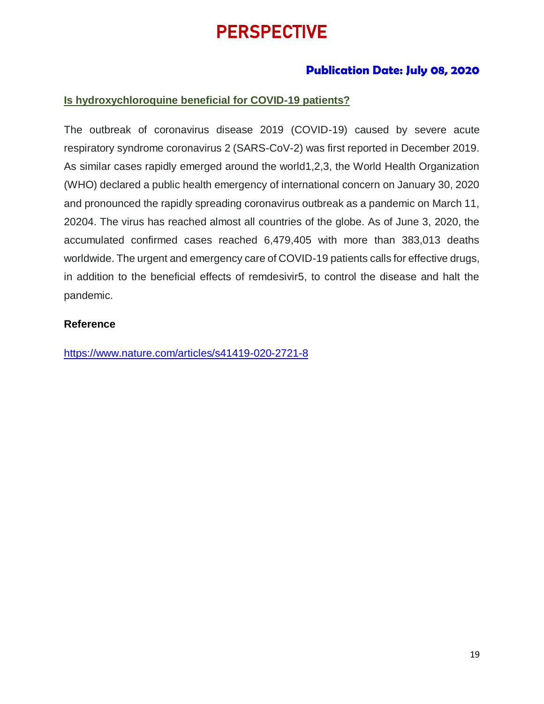# **PERSPECTIVE**

## **Publication Date: July 08, 2020**

### **Is hydroxychloroquine beneficial for COVID-19 patients?**

The outbreak of coronavirus disease 2019 (COVID-19) caused by severe acute respiratory syndrome coronavirus 2 (SARS-CoV-2) was first reported in December 2019. As similar cases rapidly emerged around the world1,2,3, the World Health Organization (WHO) declared a public health emergency of international concern on January 30, 2020 and pronounced the rapidly spreading coronavirus outbreak as a pandemic on March 11, 20204. The virus has reached almost all countries of the globe. As of June 3, 2020, the accumulated confirmed cases reached 6,479,405 with more than 383,013 deaths worldwide. The urgent and emergency care of COVID-19 patients calls for effective drugs, in addition to the beneficial effects of remdesivir5, to control the disease and halt the pandemic.

#### **Reference**

<https://www.nature.com/articles/s41419-020-2721-8>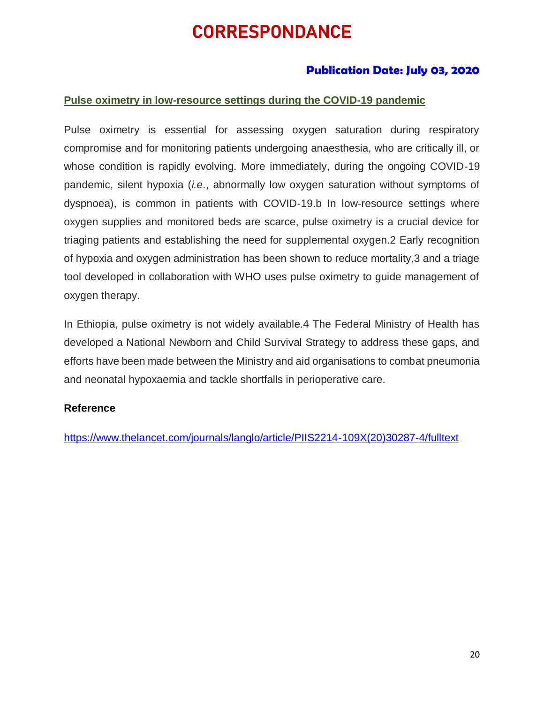# **CORRESPONDANCE**

## **Publication Date: July 03, 2020**

#### **Pulse oximetry in low-resource settings during the COVID-19 pandemic**

Pulse oximetry is essential for assessing oxygen saturation during respiratory compromise and for monitoring patients undergoing anaesthesia, who are critically ill, or whose condition is rapidly evolving. More immediately, during the ongoing COVID-19 pandemic, silent hypoxia (*i.e*., abnormally low oxygen saturation without symptoms of dyspnoea), is common in patients with COVID-19.b In low-resource settings where oxygen supplies and monitored beds are scarce, pulse oximetry is a crucial device for triaging patients and establishing the need for supplemental oxygen.2 Early recognition of hypoxia and oxygen administration has been shown to reduce mortality,3 and a triage tool developed in collaboration with WHO uses pulse oximetry to guide management of oxygen therapy.

In Ethiopia, pulse oximetry is not widely available.4 The Federal Ministry of Health has developed a National Newborn and Child Survival Strategy to address these gaps, and efforts have been made between the Ministry and aid organisations to combat pneumonia and neonatal hypoxaemia and tackle shortfalls in perioperative care.

#### **Reference**

[https://www.thelancet.com/journals/langlo/article/PIIS2214-109X\(20\)30287-4/fulltext](https://www.thelancet.com/journals/langlo/article/PIIS2214-109X(20)30287-4/fulltext)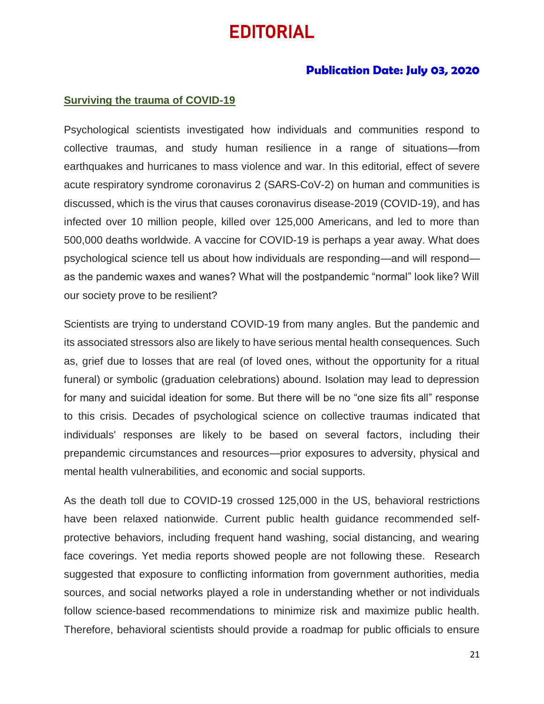# EDITORIAL

#### **Publication Date: July 03, 2020**

#### **Surviving the trauma of COVID-19**

Psychological scientists investigated how individuals and communities respond to collective traumas, and study human resilience in a range of situations—from earthquakes and hurricanes to mass violence and war. In this editorial, effect of severe acute respiratory syndrome coronavirus 2 (SARS-CoV-2) on human and communities is discussed, which is the virus that causes coronavirus disease-2019 (COVID-19), and has infected over 10 million people, killed over 125,000 Americans, and led to more than 500,000 deaths worldwide. A vaccine for COVID-19 is perhaps a year away. What does psychological science tell us about how individuals are responding—and will respond as the pandemic waxes and wanes? What will the postpandemic "normal" look like? Will our society prove to be resilient?

Scientists are trying to understand COVID-19 from many angles. But the pandemic and its associated stressors also are likely to have serious mental health consequences. Such as, grief due to losses that are real (of loved ones, without the opportunity for a ritual funeral) or symbolic (graduation celebrations) abound. Isolation may lead to depression for many and suicidal ideation for some. But there will be no "one size fits all" response to this crisis. Decades of psychological science on collective traumas indicated that individuals' responses are likely to be based on several factors, including their prepandemic circumstances and resources—prior exposures to adversity, physical and mental health vulnerabilities, and economic and social supports.

As the death toll due to COVID-19 crossed 125,000 in the US, behavioral restrictions have been relaxed nationwide. Current public health guidance recommended selfprotective behaviors, including frequent hand washing, social distancing, and wearing face coverings. Yet media reports showed people are not following these. Research suggested that exposure to conflicting information from government authorities, media sources, and social networks played a role in understanding whether or not individuals follow science-based recommendations to minimize risk and maximize public health. Therefore, behavioral scientists should provide a roadmap for public officials to ensure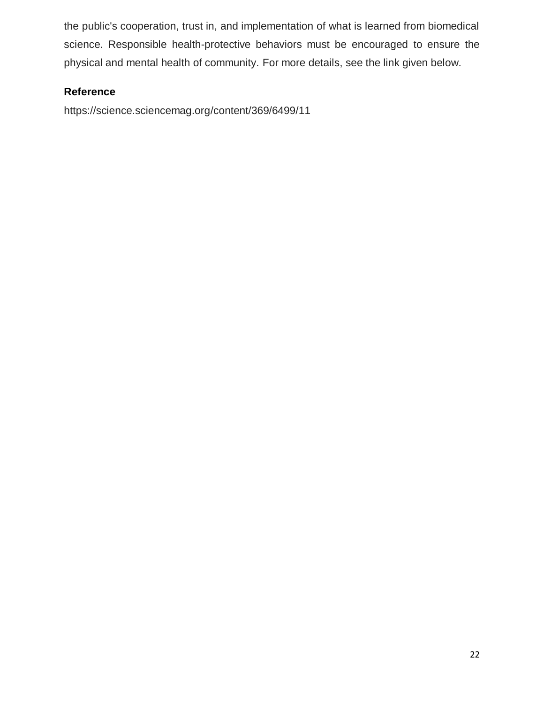the public's cooperation, trust in, and implementation of what is learned from biomedical science. Responsible health-protective behaviors must be encouraged to ensure the physical and mental health of community. For more details, see the link given below.

### **Reference**

https://science.sciencemag.org/content/369/6499/11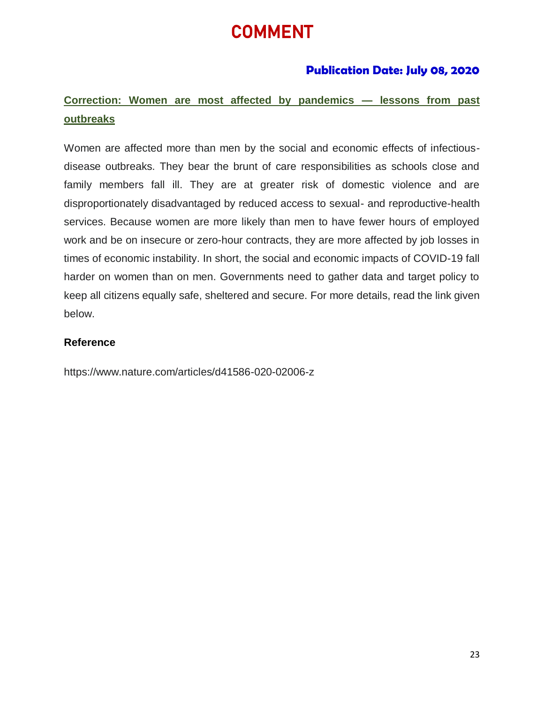# COMMENT

## **Publication Date: July 08, 2020**

## **Correction: Women are most affected by pandemics — lessons from past outbreaks**

Women are affected more than men by the social and economic effects of infectiousdisease outbreaks. They bear the brunt of care responsibilities as schools close and family members fall ill. They are at greater risk of domestic violence and are disproportionately disadvantaged by reduced access to sexual- and reproductive-health services. Because women are more likely than men to have fewer hours of employed work and be on insecure or zero-hour contracts, they are more affected by job losses in times of economic instability. In short, the social and economic impacts of COVID-19 fall harder on women than on men. Governments need to gather data and target policy to keep all citizens equally safe, sheltered and secure. For more details, read the link given below.

#### **Reference**

<https://www.nature.com/articles/d41586-020-02006-z>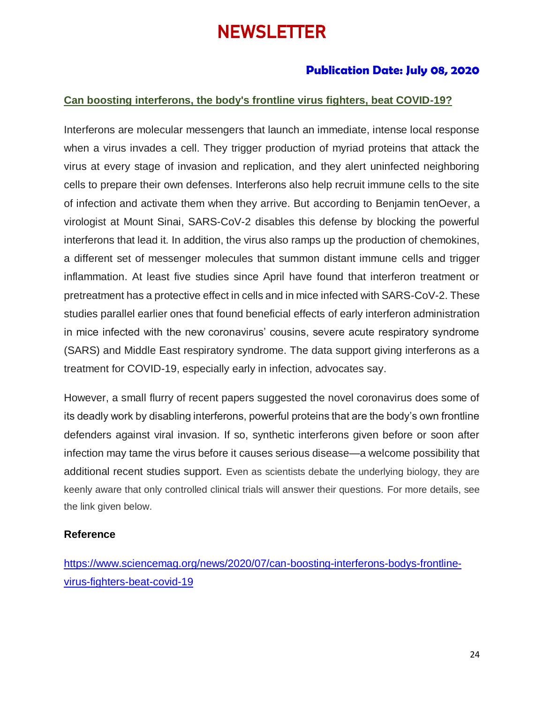# **NEWSLETTER**

### **Publication Date: July 08, 2020**

#### **Can boosting interferons, the body's frontline virus fighters, beat COVID-19?**

Interferons are molecular messengers that launch an immediate, intense local response when a virus invades a cell. They trigger production of myriad proteins that attack the virus at every stage of invasion and replication, and they alert uninfected neighboring cells to prepare their own defenses. Interferons also help recruit immune cells to the site of infection and activate them when they arrive. But according to Benjamin tenOever, a virologist at Mount Sinai, SARS-CoV-2 disables this defense by blocking the powerful interferons that lead it. In addition, the virus also ramps up the production of chemokines, a different set of messenger molecules that summon distant immune cells and trigger inflammation. At least five studies since April have found that interferon treatment or pretreatment has a protective effect in cells and in mice infected with SARS-CoV-2. These studies parallel earlier ones that found beneficial effects of early interferon administration in mice infected with the new coronavirus' cousins, severe acute respiratory syndrome (SARS) and Middle East respiratory syndrome. The data support giving interferons as a treatment for COVID-19, especially early in infection, advocates say.

However, a small flurry of recent papers suggested the novel coronavirus does some of its deadly work by disabling interferons, powerful proteins that are the body's own frontline defenders against viral invasion. If so, synthetic interferons given before or soon after infection may tame the virus before it causes serious disease—a welcome possibility that additional recent studies support. Even as scientists debate the underlying biology, they are keenly aware that only controlled clinical trials will answer their questions. For more details, see the link given below.

#### **Reference**

[https://www.sciencemag.org/news/2020/07/can-boosting-interferons-bodys-frontline](https://www.sciencemag.org/news/2020/07/can-boosting-interferons-bodys-frontline-virus-fighters-beat-covid-19)[virus-fighters-beat-covid-19](https://www.sciencemag.org/news/2020/07/can-boosting-interferons-bodys-frontline-virus-fighters-beat-covid-19)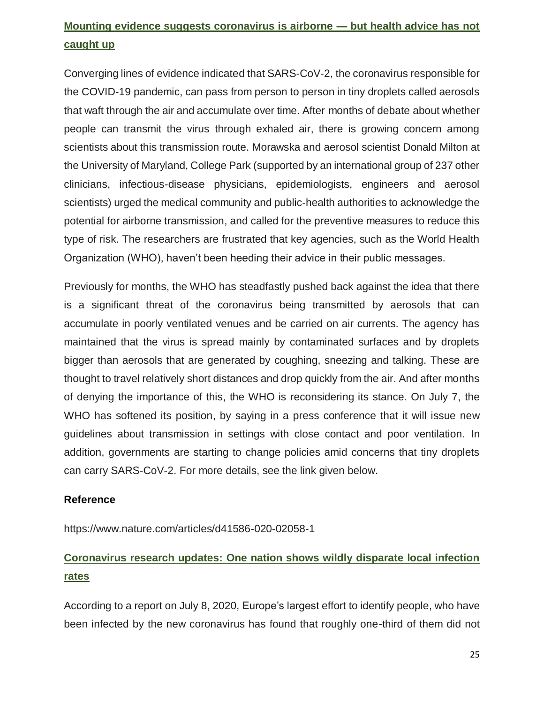# **Mounting evidence suggests coronavirus is airborne — but health advice has not caught up**

Converging lines of evidence indicated that SARS-CoV-2, the coronavirus responsible for the COVID-19 pandemic, can pass from person to person in tiny droplets called aerosols that waft through the air and accumulate over time. After months of debate about whether people can transmit the virus through exhaled air, there is growing concern among scientists about this transmission route. Morawska and aerosol scientist Donald Milton at the University of Maryland, College Park (supported by an international group of 237 other clinicians, infectious-disease physicians, epidemiologists, engineers and aerosol scientists) urged the medical community and public-health authorities to acknowledge the potential for airborne transmission, and called for the preventive measures to reduce this type of risk. The researchers are frustrated that key agencies, such as the World Health Organization (WHO), haven't been heeding their advice in their public messages.

Previously for months, the WHO has steadfastly pushed back against the idea that there is a significant threat of the coronavirus being transmitted by aerosols that can accumulate in poorly ventilated venues and be carried on air currents. The agency has maintained that the virus is spread mainly by contaminated surfaces and by droplets bigger than aerosols that are generated by coughing, sneezing and talking. These are thought to travel relatively short distances and drop quickly from the air. And after months of denying the importance of this, the WHO is reconsidering its stance. On July 7, [the](https://www.who.int/emergencies/diseases/novel-coronavirus-2019)  [WHO has softened its position,](https://www.who.int/emergencies/diseases/novel-coronavirus-2019) by saying in a press conference that it will issue new guidelines about transmission in settings with close contact and poor ventilation. In addition, governments are starting to change policies amid concerns that tiny droplets can carry SARS-CoV-2. For more details, see the link given below.

#### **Reference**

<https://www.nature.com/articles/d41586-020-02058-1>

# **Coronavirus research updates: One nation shows wildly disparate local infection rates**

According to a report on July 8, 2020, Europe's largest effort to identify people, who have been infected by the new coronavirus has found that roughly one-third of them did not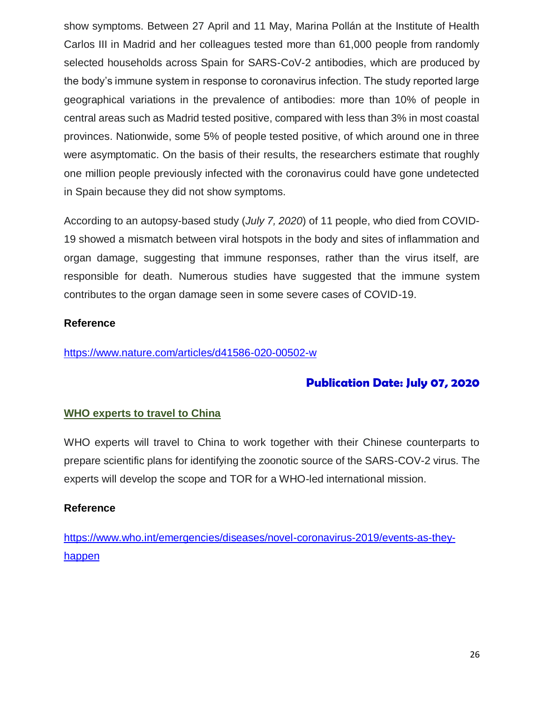show symptoms. Between 27 April and 11 May, Marina Pollán at the Institute of Health Carlos III in Madrid and her colleagues tested more than 61,000 people from randomly selected households across Spain for SARS-CoV-2 antibodies, which are produced by the body's immune system in response to coronavirus infection. The study reported large geographical variations in the prevalence of antibodies: more than 10% of people in central areas such as Madrid tested positive, compared with less than 3% in most coastal provinces. Nationwide, some 5% of people tested positive, of which around one in three were asymptomatic. On the basis of their results, the researchers estimate that roughly one million people previously infected with the coronavirus could have gone undetected in Spain because they did not show symptoms.

According to an autopsy-based study (*July 7, 2020*) of 11 people, who died from COVID-19 showed a mismatch between viral hotspots in the body and sites of inflammation and organ damage, suggesting that immune responses, rather than the virus itself, are responsible for death. Numerous studies have suggested that the immune system contributes to the organ damage seen in some severe cases of COVID-19.

### **Reference**

<https://www.nature.com/articles/d41586-020-00502-w>

## **Publication Date: July 07, 2020**

### **WHO experts to travel to China**

WHO experts will travel to China to work together with their Chinese counterparts to prepare scientific plans for identifying the zoonotic source of the SARS-COV-2 virus. The experts will develop the scope and TOR for a WHO-led international mission.

#### **Reference**

[https://www.who.int/emergencies/diseases/novel-coronavirus-2019/events-as-they](https://www.who.int/emergencies/diseases/novel-coronavirus-2019/events-as-they-happen)[happen](https://www.who.int/emergencies/diseases/novel-coronavirus-2019/events-as-they-happen)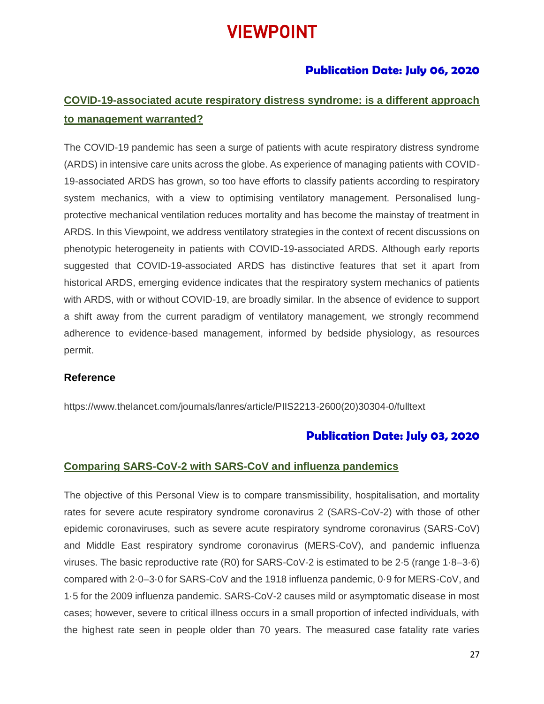# VIEWPOINT

### **Publication Date: July 06, 2020**

## **COVID-19-associated acute respiratory distress syndrome: is a different approach to management warranted?**

The COVID-19 pandemic has seen a surge of patients with acute respiratory distress syndrome (ARDS) in intensive care units across the globe. As experience of managing patients with COVID-19-associated ARDS has grown, so too have efforts to classify patients according to respiratory system mechanics, with a view to optimising ventilatory management. Personalised lungprotective mechanical ventilation reduces mortality and has become the mainstay of treatment in ARDS. In this Viewpoint, we address ventilatory strategies in the context of recent discussions on phenotypic heterogeneity in patients with COVID-19-associated ARDS. Although early reports suggested that COVID-19-associated ARDS has distinctive features that set it apart from historical ARDS, emerging evidence indicates that the respiratory system mechanics of patients with ARDS, with or without COVID-19, are broadly similar. In the absence of evidence to support a shift away from the current paradigm of ventilatory management, we strongly recommend adherence to evidence-based management, informed by bedside physiology, as resources permit.

#### **Reference**

[https://www.thelancet.com/journals/lanres/article/PIIS2213-2600\(20\)30304-0/fulltext](https://www.thelancet.com/journals/lanres/article/PIIS2213-2600(20)30304-0/fulltext)

### **Publication Date: July 03, 2020**

#### **Comparing SARS-CoV-2 with SARS-CoV and influenza pandemics**

The objective of this Personal View is to compare transmissibility, hospitalisation, and mortality rates for severe acute respiratory syndrome coronavirus 2 (SARS-CoV-2) with those of other epidemic coronaviruses, such as severe acute respiratory syndrome coronavirus (SARS-CoV) and Middle East respiratory syndrome coronavirus (MERS-CoV), and pandemic influenza viruses. The basic reproductive rate (R0) for SARS-CoV-2 is estimated to be 2·5 (range 1·8–3·6) compared with 2·0–3·0 for SARS-CoV and the 1918 influenza pandemic, 0·9 for MERS-CoV, and 1·5 for the 2009 influenza pandemic. SARS-CoV-2 causes mild or asymptomatic disease in most cases; however, severe to critical illness occurs in a small proportion of infected individuals, with the highest rate seen in people older than 70 years. The measured case fatality rate varies